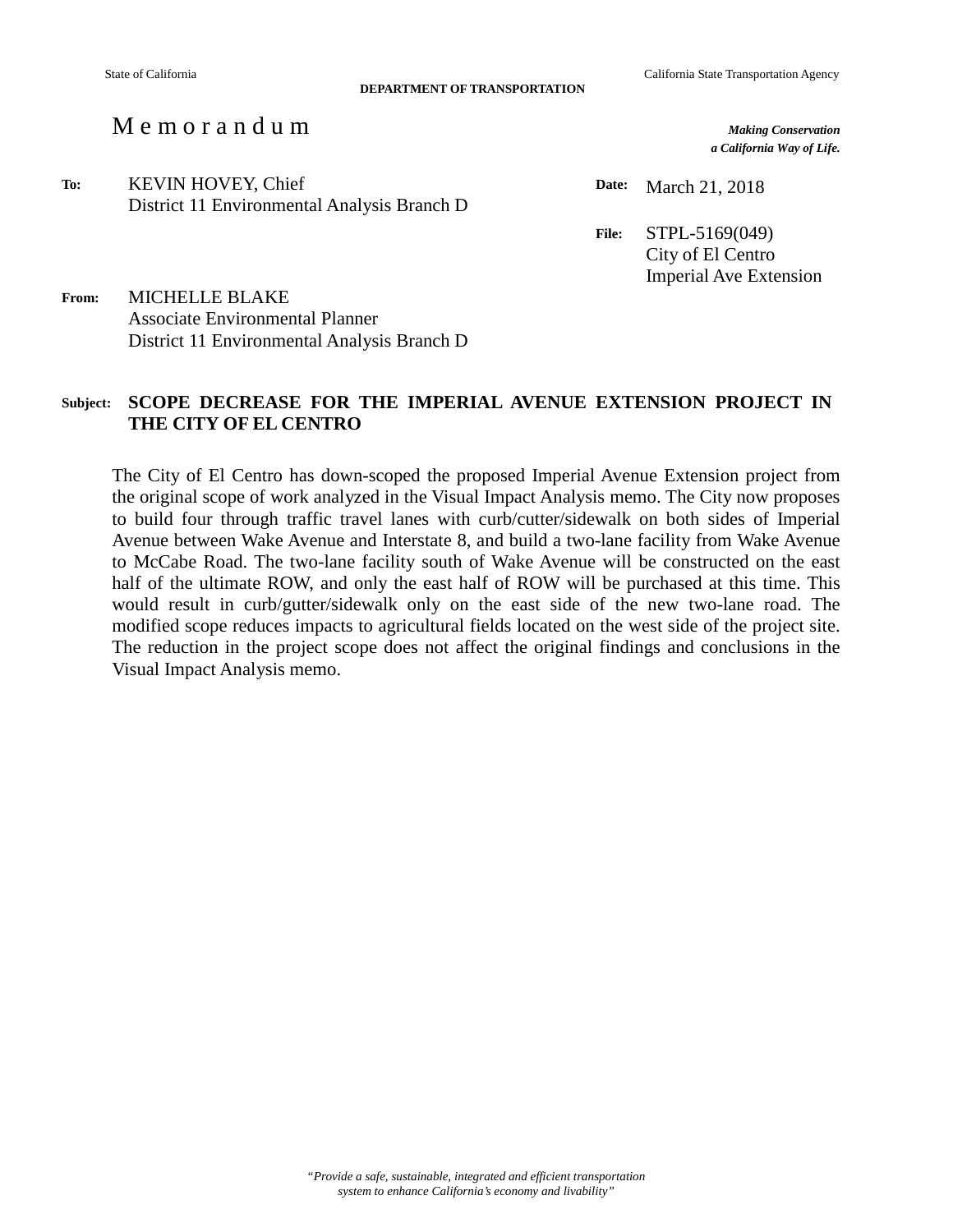**DEPARTMENT OF TRANSPORTATION**

## M e m o r a n d u m *Making Conservation*

*a California Way of Life.*

**To:** KEVIN HOVEY, Chief District 11 Environmental Analysis Branch D

**Date:** March 21, 2018

**File:** STPL-5169(049) City of El Centro Imperial Ave Extension

**From:** MICHELLE BLAKE Associate Environmental Planner District 11 Environmental Analysis Branch D

## **Subject: SCOPE DECREASE FOR THE IMPERIAL AVENUE EXTENSION PROJECT IN THE CITY OF EL CENTRO**

The City of El Centro has down-scoped the proposed Imperial Avenue Extension project from the original scope of work analyzed in the Visual Impact Analysis memo. The City now proposes to build four through traffic travel lanes with curb/cutter/sidewalk on both sides of Imperial Avenue between Wake Avenue and Interstate 8, and build a two-lane facility from Wake Avenue to McCabe Road. The two-lane facility south of Wake Avenue will be constructed on the east half of the ultimate ROW, and only the east half of ROW will be purchased at this time. This would result in curb/gutter/sidewalk only on the east side of the new two-lane road. The modified scope reduces impacts to agricultural fields located on the west side of the project site. The reduction in the project scope does not affect the original findings and conclusions in the Visual Impact Analysis memo.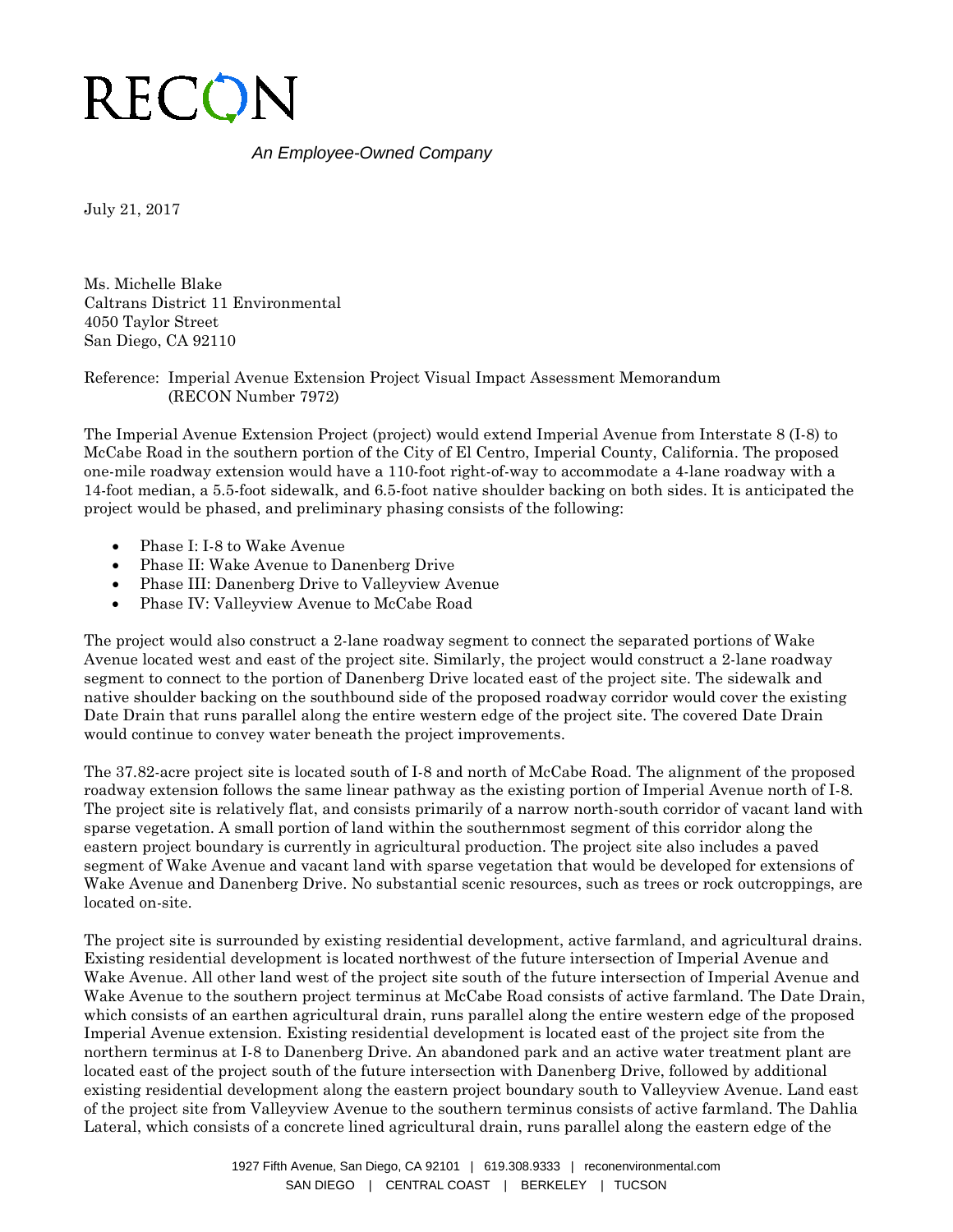

## *An Employee-Owned Company*

July 21, 2017

Ms. Michelle Blake Caltrans District 11 Environmental 4050 Taylor Street San Diego, CA 92110

Reference: Imperial Avenue Extension Project Visual Impact Assessment Memorandum (RECON Number 7972)

The Imperial Avenue Extension Project (project) would extend Imperial Avenue from Interstate 8 (I-8) to McCabe Road in the southern portion of the City of El Centro, Imperial County, California. The proposed one-mile roadway extension would have a 110-foot right-of-way to accommodate a 4-lane roadway with a 14-foot median, a 5.5-foot sidewalk, and 6.5-foot native shoulder backing on both sides. It is anticipated the project would be phased, and preliminary phasing consists of the following:

- Phase I: I-8 to Wake Avenue
- Phase II: Wake Avenue to Danenberg Drive
- Phase III: Danenberg Drive to Valleyview Avenue
- Phase IV: Valleyview Avenue to McCabe Road

The project would also construct a 2-lane roadway segment to connect the separated portions of Wake Avenue located west and east of the project site. Similarly, the project would construct a 2-lane roadway segment to connect to the portion of Danenberg Drive located east of the project site. The sidewalk and native shoulder backing on the southbound side of the proposed roadway corridor would cover the existing Date Drain that runs parallel along the entire western edge of the project site. The covered Date Drain would continue to convey water beneath the project improvements.

The 37.82-acre project site is located south of I-8 and north of McCabe Road. The alignment of the proposed roadway extension follows the same linear pathway as the existing portion of Imperial Avenue north of I-8. The project site is relatively flat, and consists primarily of a narrow north-south corridor of vacant land with sparse vegetation. A small portion of land within the southernmost segment of this corridor along the eastern project boundary is currently in agricultural production. The project site also includes a paved segment of Wake Avenue and vacant land with sparse vegetation that would be developed for extensions of Wake Avenue and Danenberg Drive. No substantial scenic resources, such as trees or rock outcroppings, are located on-site.

The project site is surrounded by existing residential development, active farmland, and agricultural drains. Existing residential development is located northwest of the future intersection of Imperial Avenue and Wake Avenue. All other land west of the project site south of the future intersection of Imperial Avenue and Wake Avenue to the southern project terminus at McCabe Road consists of active farmland. The Date Drain, which consists of an earthen agricultural drain, runs parallel along the entire western edge of the proposed Imperial Avenue extension. Existing residential development is located east of the project site from the northern terminus at I-8 to Danenberg Drive. An abandoned park and an active water treatment plant are located east of the project south of the future intersection with Danenberg Drive, followed by additional existing residential development along the eastern project boundary south to Valleyview Avenue. Land east of the project site from Valleyview Avenue to the southern terminus consists of active farmland. The Dahlia Lateral, which consists of a concrete lined agricultural drain, runs parallel along the eastern edge of the